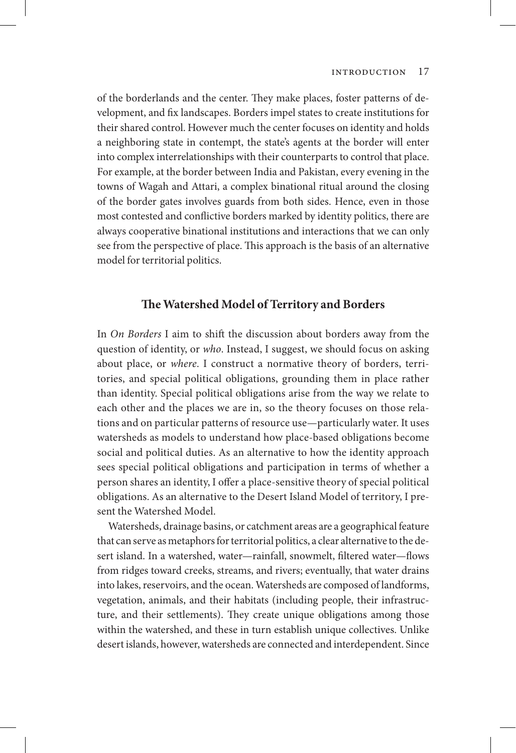of the borderlands and the center. They make places, foster patterns of development, and fix landscapes. Borders impel states to create institutions for their shared control. However much the center focuses on identity and holds a neighboring state in contempt, the state's agents at the border will enter into complex interrelationships with their counterparts to control that place. For example, at the border between India and Pakistan, every evening in the towns of Wagah and Attari, a complex binational ritual around the closing of the border gates involves guards from both sides. Hence, even in those most contested and conflictive borders marked by identity politics, there are always cooperative binational institutions and interactions that we can only see from the perspective of place. This approach is the basis of an alternative model for territorial politics.

#### **The Watershed Model of Territory and Borders**

In *On Borders* I aim to shift the discussion about borders away from the question of identity, or *who*. Instead, I suggest, we should focus on asking about place, or *where*. I construct a normative theory of borders, territories, and special political obligations, grounding them in place rather than identity. Special political obligations arise from the way we relate to each other and the places we are in, so the theory focuses on those relations and on particular patterns of resource use—particularly water. It uses watersheds as models to understand how place-based obligations become social and political duties. As an alternative to how the identity approach sees special political obligations and participation in terms of whether a person shares an identity, I offer a place-sensitive theory of special political obligations. As an alternative to the Desert Island Model of territory, I present the Watershed Model.

Watersheds, drainage basins, or catchment areas are a geographical feature that can serve as metaphors for territorial politics, a clear alternative to the desert island. In a watershed, water—rainfall, snowmelt, filtered water—flows from ridges toward creeks, streams, and rivers; eventually, that water drains into lakes, reservoirs, and the ocean. Watersheds are composed of landforms, vegetation, animals, and their habitats (including people, their infrastructure, and their settlements). They create unique obligations among those within the watershed, and these in turn establish unique collectives. Unlike desert islands, however, watersheds are connected and interdependent. Since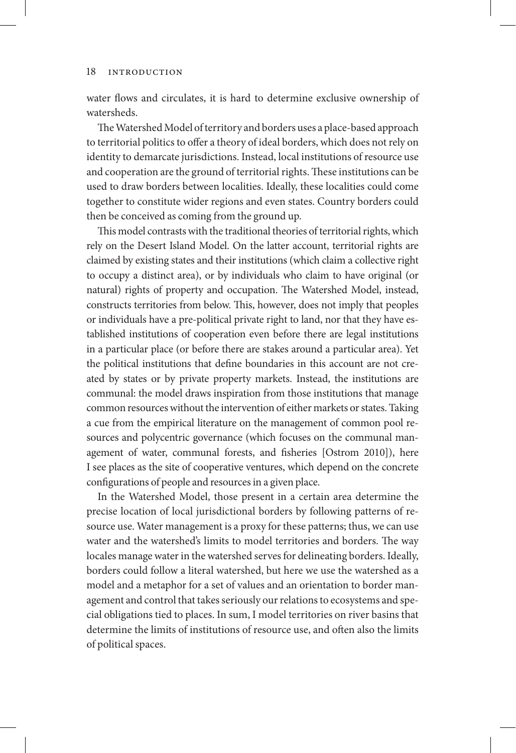water flows and circulates, it is hard to determine exclusive ownership of watersheds.

The Watershed Model of territory and borders uses a place-based approach to territorial politics to offer a theory of ideal borders, which does not rely on identity to demarcate jurisdictions. Instead, local institutions of resource use and cooperation are the ground of territorial rights. These institutions can be used to draw borders between localities. Ideally, these localities could come together to constitute wider regions and even states. Country borders could then be conceived as coming from the ground up.

This model contrasts with the traditional theories of territorial rights, which rely on the Desert Island Model. On the latter account, territorial rights are claimed by existing states and their institutions (which claim a collective right to occupy a distinct area), or by individuals who claim to have original (or natural) rights of property and occupation. The Watershed Model, instead, constructs territories from below. This, however, does not imply that peoples or individuals have a pre-political private right to land, nor that they have established institutions of cooperation even before there are legal institutions in a particular place (or before there are stakes around a particular area). Yet the political institutions that define boundaries in this account are not created by states or by private property markets. Instead, the institutions are communal: the model draws inspiration from those institutions that manage common resources without the intervention of either markets or states. Taking a cue from the empirical literature on the management of common pool resources and polycentric governance (which focuses on the communal management of water, communal forests, and fisheries [Ostrom 2010]), here I see places as the site of cooperative ventures, which depend on the concrete configurations of people and resources in a given place.

In the Watershed Model, those present in a certain area determine the precise location of local jurisdictional borders by following patterns of resource use. Water management is a proxy for these patterns; thus, we can use water and the watershed's limits to model territories and borders. The way locales manage water in the watershed serves for delineating borders. Ideally, borders could follow a literal watershed, but here we use the watershed as a model and a metaphor for a set of values and an orientation to border management and control that takes seriously our relations to ecosystems and special obligations tied to places. In sum, I model territories on river basins that determine the limits of institutions of resource use, and often also the limits of political spaces.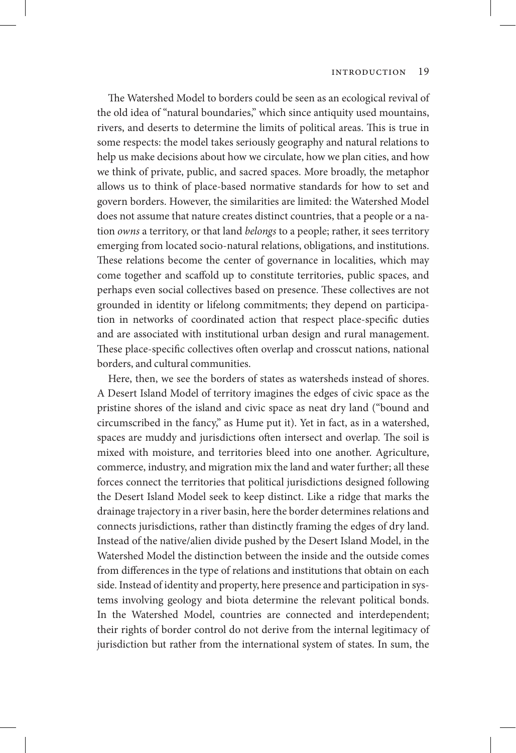The Watershed Model to borders could be seen as an ecological revival of the old idea of "natural boundaries," which since antiquity used mountains, rivers, and deserts to determine the limits of political areas. This is true in some respects: the model takes seriously geography and natural relations to help us make decisions about how we circulate, how we plan cities, and how we think of private, public, and sacred spaces. More broadly, the metaphor allows us to think of place-based normative standards for how to set and govern borders. However, the similarities are limited: the Watershed Model does not assume that nature creates distinct countries, that a people or a nation *owns* a territory, or that land *belongs* to a people; rather, it sees territory emerging from located socio-natural relations, obligations, and institutions. These relations become the center of governance in localities, which may come together and scaffold up to constitute territories, public spaces, and perhaps even social collectives based on presence. These collectives are not grounded in identity or lifelong commitments; they depend on participation in networks of coordinated action that respect place-specific duties and are associated with institutional urban design and rural management. These place-specific collectives often overlap and crosscut nations, national borders, and cultural communities.

Here, then, we see the borders of states as watersheds instead of shores. A Desert Island Model of territory imagines the edges of civic space as the pristine shores of the island and civic space as neat dry land ("bound and circumscribed in the fancy," as Hume put it). Yet in fact, as in a watershed, spaces are muddy and jurisdictions often intersect and overlap. The soil is mixed with moisture, and territories bleed into one another. Agriculture, commerce, industry, and migration mix the land and water further; all these forces connect the territories that political jurisdictions designed following the Desert Island Model seek to keep distinct. Like a ridge that marks the drainage trajectory in a river basin, here the border determines relations and connects jurisdictions, rather than distinctly framing the edges of dry land. Instead of the native/alien divide pushed by the Desert Island Model, in the Watershed Model the distinction between the inside and the outside comes from differences in the type of relations and institutions that obtain on each side. Instead of identity and property, here presence and participation in systems involving geology and biota determine the relevant political bonds. In the Watershed Model, countries are connected and interdependent; their rights of border control do not derive from the internal legitimacy of jurisdiction but rather from the international system of states. In sum, the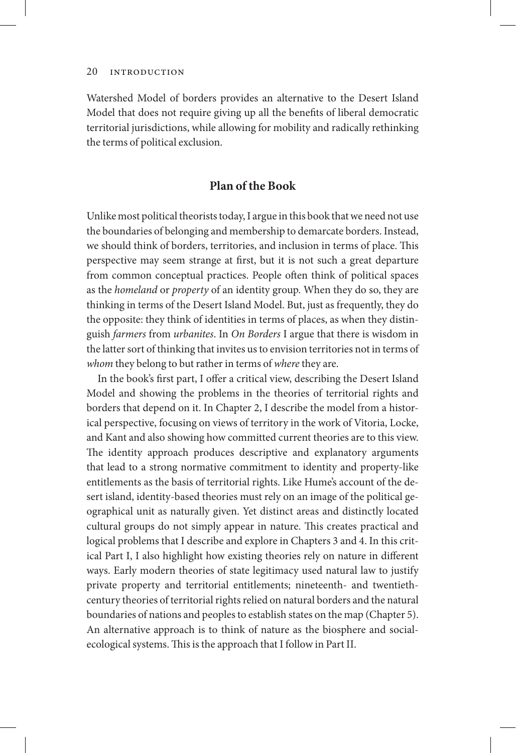Watershed Model of borders provides an alternative to the Desert Island Model that does not require giving up all the benefits of liberal democratic territorial jurisdictions, while allowing for mobility and radically rethinking the terms of political exclusion.

#### **Plan of the Book**

Unlike most political theorists today, I argue in this book that we need not use the boundaries of belonging and membership to demarcate borders. Instead, we should think of borders, territories, and inclusion in terms of place. This perspective may seem strange at first, but it is not such a great departure from common conceptual practices. People often think of political spaces as the *homeland* or *property* of an identity group. When they do so, they are thinking in terms of the Desert Island Model. But, just as frequently, they do the opposite: they think of identities in terms of places, as when they distinguish *farmers* from *urbanites*. In *On Borders* I argue that there is wisdom in the latter sort of thinking that invites us to envision territories not in terms of *whom* they belong to but rather in terms of *where* they are.

In the book's first part, I offer a critical view, describing the Desert Island Model and showing the problems in the theories of territorial rights and borders that depend on it. In Chapter 2, I describe the model from a historical perspective, focusing on views of territory in the work of Vitoria, Locke, and Kant and also showing how committed current theories are to this view. The identity approach produces descriptive and explanatory arguments that lead to a strong normative commitment to identity and property-like entitlements as the basis of territorial rights. Like Hume's account of the desert island, identity-based theories must rely on an image of the political geographical unit as naturally given. Yet distinct areas and distinctly located cultural groups do not simply appear in nature. This creates practical and logical problems that I describe and explore in Chapters 3 and 4. In this critical Part I, I also highlight how existing theories rely on nature in different ways. Early modern theories of state legitimacy used natural law to justify private property and territorial entitlements; nineteenth- and twentiethcentury theories of territorial rights relied on natural borders and the natural boundaries of nations and peoples to establish states on the map (Chapter 5). An alternative approach is to think of nature as the biosphere and socialecological systems. This is the approach that I follow in Part II.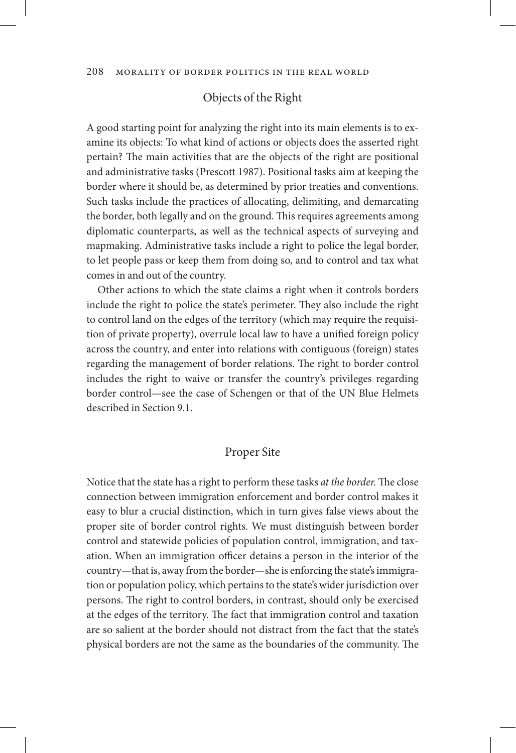## Objects of the Right

A good starting point for analyzing the right into its main elements is to examine its objects: To what kind of actions or objects does the asserted right pertain? The main activities that are the objects of the right are positional and administrative tasks (Prescott 1987). Positional tasks aim at keeping the border where it should be, as determined by prior treaties and conventions. Such tasks include the practices of allocating, delimiting, and demarcating the border, both legally and on the ground. This requires agreements among diplomatic counterparts, as well as the technical aspects of surveying and mapmaking. Administrative tasks include a right to police the legal border, to let people pass or keep them from doing so, and to control and tax what comes in and out of the country.

Other actions to which the state claims a right when it controls borders include the right to police the state's perimeter. They also include the right to control land on the edges of the territory (which may require the requisition of private property), overrule local law to have a unified foreign policy across the country, and enter into relations with contiguous (foreign) states regarding the management of border relations. The right to border control includes the right to waive or transfer the country's privileges regarding border control—see the case of Schengen or that of the UN Blue Helmets described in Section 9.1.

## Proper Site

Notice that the state has a right to perform these tasks *at the border.* The close connection between immigration enforcement and border control makes it easy to blur a crucial distinction, which in turn gives false views about the proper site of border control rights. We must distinguish between border control and statewide policies of population control, immigration, and taxation. When an immigration officer detains a person in the interior of the country—that is, away from the border—she is enforcing the state's immigration or population policy, which pertains to the state's wider jurisdiction over persons. The right to control borders, in contrast, should only be exercised at the edges of the territory. The fact that immigration control and taxation are so salient at the border should not distract from the fact that the state's physical borders are not the same as the boundaries of the community. The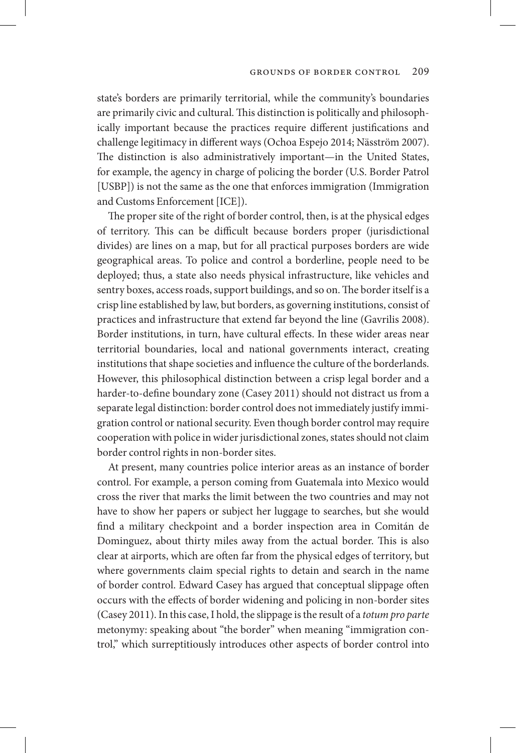state's borders are primarily territorial, while the community's boundaries are primarily civic and cultural. This distinction is politically and philosophically important because the practices require different justifications and challenge legitimacy in different ways (Ochoa Espejo 2014; Näsström 2007). The distinction is also administratively important—in the United States, for example, the agency in charge of policing the border (U.S. Border Patrol [USBP]) is not the same as the one that enforces immigration (Immigration and Customs Enforcement [ICE]).

The proper site of the right of border control, then, is at the physical edges of territory. This can be difficult because borders proper (jurisdictional divides) are lines on a map, but for all practical purposes borders are wide geographical areas. To police and control a borderline, people need to be deployed; thus, a state also needs physical infrastructure, like vehicles and sentry boxes, access roads, support buildings, and so on. The border itself is a crisp line established by law, but borders, as governing institutions, consist of practices and infrastructure that extend far beyond the line (Gavrilis 2008). Border institutions, in turn, have cultural effects. In these wider areas near territorial boundaries, local and national governments interact, creating institutions that shape societies and influence the culture of the borderlands. However, this philosophical distinction between a crisp legal border and a harder-to-define boundary zone (Casey 2011) should not distract us from a separate legal distinction: border control does not immediately justify immigration control or national security. Even though border control may require cooperation with police in wider jurisdictional zones, states should not claim border control rights in non-border sites.

At present, many countries police interior areas as an instance of border control. For example, a person coming from Guatemala into Mexico would cross the river that marks the limit between the two countries and may not have to show her papers or subject her luggage to searches, but she would find a military checkpoint and a border inspection area in Comitán de Dominguez, about thirty miles away from the actual border. This is also clear at airports, which are often far from the physical edges of territory, but where governments claim special rights to detain and search in the name of border control. Edward Casey has argued that conceptual slippage often occurs with the effects of border widening and policing in non-border sites (Casey 2011). In this case, I hold, the slippage is the result of a *totum pro parte* metonymy: speaking about "the border" when meaning "immigration control," which surreptitiously introduces other aspects of border control into